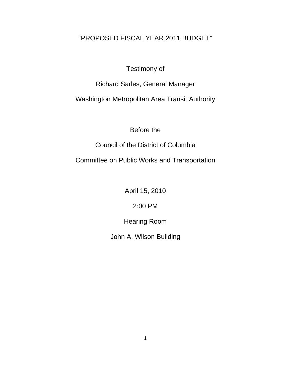# "PROPOSED FISCAL YEAR 2011 BUDGET"

## Testimony of

Richard Sarles, General Manager

Washington Metropolitan Area Transit Authority

## Before the

Council of the District of Columbia

Committee on Public Works and Transportation

April 15, 2010

2:00 PM

Hearing Room

John A. Wilson Building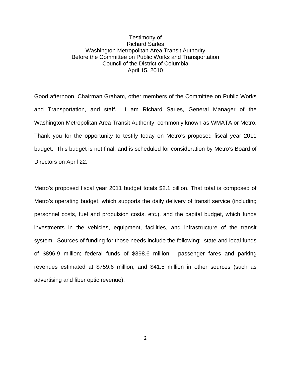### Testimony of Richard Sarles Washington Metropolitan Area Transit Authority Before the Committee on Public Works and Transportation Council of the District of Columbia April 15, 2010

Good afternoon, Chairman Graham, other members of the Committee on Public Works and Transportation, and staff. I am Richard Sarles, General Manager of the Washington Metropolitan Area Transit Authority, commonly known as WMATA or Metro. Thank you for the opportunity to testify today on Metro's proposed fiscal year 2011 budget. This budget is not final, and is scheduled for consideration by Metro's Board of Directors on April 22.

Metro's proposed fiscal year 2011 budget totals \$2.1 billion. That total is composed of Metro's operating budget, which supports the daily delivery of transit service (including personnel costs, fuel and propulsion costs, etc.), and the capital budget, which funds investments in the vehicles, equipment, facilities, and infrastructure of the transit system. Sources of funding for those needs include the following: state and local funds of \$896.9 million; federal funds of \$398.6 million; passenger fares and parking revenues estimated at \$759.6 million, and \$41.5 million in other sources (such as advertising and fiber optic revenue).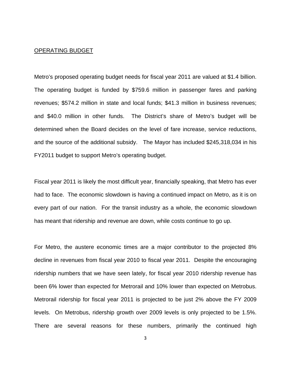### OPERATING BUDGET

Metro's proposed operating budget needs for fiscal year 2011 are valued at \$1.4 billion. The operating budget is funded by \$759.6 million in passenger fares and parking revenues; \$574.2 million in state and local funds; \$41.3 million in business revenues; and \$40.0 million in other funds. The District's share of Metro's budget will be determined when the Board decides on the level of fare increase, service reductions, and the source of the additional subsidy. The Mayor has included \$245,318,034 in his FY2011 budget to support Metro's operating budget.

Fiscal year 2011 is likely the most difficult year, financially speaking, that Metro has ever had to face. The economic slowdown is having a continued impact on Metro, as it is on every part of our nation. For the transit industry as a whole, the economic slowdown has meant that ridership and revenue are down, while costs continue to go up.

For Metro, the austere economic times are a major contributor to the projected 8% decline in revenues from fiscal year 2010 to fiscal year 2011. Despite the encouraging ridership numbers that we have seen lately, for fiscal year 2010 ridership revenue has been 6% lower than expected for Metrorail and 10% lower than expected on Metrobus. Metrorail ridership for fiscal year 2011 is projected to be just 2% above the FY 2009 levels. On Metrobus, ridership growth over 2009 levels is only projected to be 1.5%. There are several reasons for these numbers, primarily the continued high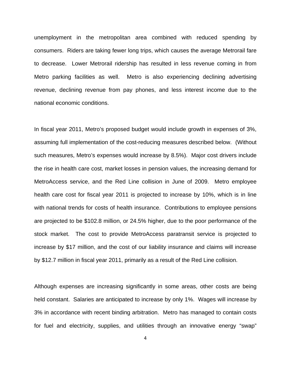unemployment in the metropolitan area combined with reduced spending by consumers. Riders are taking fewer long trips, which causes the average Metrorail fare to decrease. Lower Metrorail ridership has resulted in less revenue coming in from Metro parking facilities as well. Metro is also experiencing declining advertising revenue, declining revenue from pay phones, and less interest income due to the national economic conditions.

In fiscal year 2011, Metro's proposed budget would include growth in expenses of 3%, assuming full implementation of the cost-reducing measures described below. (Without such measures, Metro's expenses would increase by 8.5%). Major cost drivers include the rise in health care cost, market losses in pension values, the increasing demand for MetroAccess service, and the Red Line collision in June of 2009. Metro employee health care cost for fiscal year 2011 is projected to increase by 10%, which is in line with national trends for costs of health insurance. Contributions to employee pensions are projected to be \$102.8 million, or 24.5% higher, due to the poor performance of the stock market. The cost to provide MetroAccess paratransit service is projected to increase by \$17 million, and the cost of our liability insurance and claims will increase by \$12.7 million in fiscal year 2011, primarily as a result of the Red Line collision.

Although expenses are increasing significantly in some areas, other costs are being held constant. Salaries are anticipated to increase by only 1%. Wages will increase by 3% in accordance with recent binding arbitration. Metro has managed to contain costs for fuel and electricity, supplies, and utilities through an innovative energy "swap"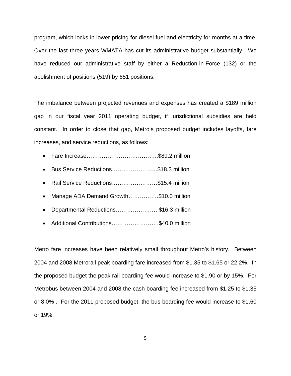program, which locks in lower pricing for diesel fuel and electricity for months at a time. Over the last three years WMATA has cut its administrative budget substantially. We have reduced our administrative staff by either a Reduction-in-Force (132) or the abolishment of positions (519) by 651 positions.

The imbalance between projected revenues and expenses has created a \$189 million gap in our fiscal year 2011 operating budget, if jurisdictional subsidies are held constant. In order to close that gap, Metro's proposed budget includes layoffs, fare increases, and service reductions, as follows:

- Fare Increase………………………………..\$89.2 million
- Bus Service Reductions……………………\$18.3 million
- Rail Service Reductions……………………\$15.4 million
- Manage ADA Demand Growth..............\$10.0 million
- Departmental Reductions.....................\$16.3 million
- Additional Contributions…………………….\$40.0 million

Metro fare increases have been relatively small throughout Metro's history. Between 2004 and 2008 Metrorail peak boarding fare increased from \$1.35 to \$1.65 or 22.2%. In the proposed budget the peak rail boarding fee would increase to \$1.90 or by 15%. For Metrobus between 2004 and 2008 the cash boarding fee increased from \$1.25 to \$1.35 or 8.0% . For the 2011 proposed budget, the bus boarding fee would increase to \$1.60 or 19%.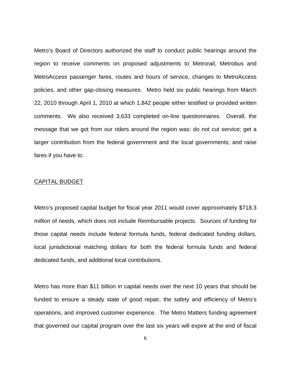Metro's Board of Directors authorized the staff to conduct public hearings around the region to receive comments on proposed adjustments to Metrorail, Metrobus and MetroAccess passenger fares, routes and hours of service, changes to MetroAccess policies, and other gap-closing measures. Metro held six public hearings from March 22, 2010 through April 1, 2010 at which 1,842 people either testified or provided written comments. We also received 3,633 completed on-line questionnaires. Overall, the message that we got from our riders around the region was: do not cut service; get a larger contribution from the federal government and the local governments; and raise fares if you have to.

### CAPITAL BUDGET

Metro's proposed capital budget for fiscal year 2011 would cover approximately \$718.3 million of needs, which does not include Reimbursable projects. Sources of funding for those capital needs include federal formula funds, federal dedicated funding dollars, local jurisdictional matching dollars for both the federal formula funds and federal dedicated funds, and additional local contributions.

Metro has more than \$11 billion in capital needs over the next 10 years that should be funded to ensure a steady state of good repair, the safety and efficiency of Metro's operations, and improved customer experience. The Metro Matters funding agreement that governed our capital program over the last six years will expire at the end of fiscal